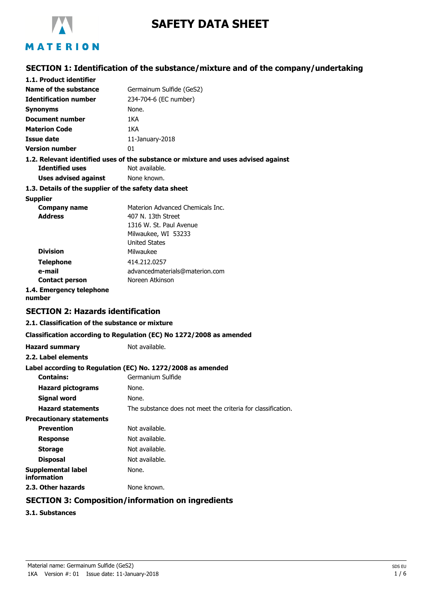

# **SAFETY DATA SHEET**

# **SECTION 1: Identification of the substance/mixture and of the company/undertaking**

| 1.1. Product identifier                               |                                                                                    |
|-------------------------------------------------------|------------------------------------------------------------------------------------|
| Name of the substance                                 | Germainum Sulfide (GeS2)                                                           |
| <b>Identification number</b>                          | 234-704-6 (EC number)                                                              |
| Synonyms                                              | None.                                                                              |
| <b>Document number</b>                                | 1KA                                                                                |
| <b>Materion Code</b>                                  | 1KA                                                                                |
| Issue date                                            | 11-January-2018                                                                    |
| <b>Version number</b>                                 | 01                                                                                 |
|                                                       | 1.2. Relevant identified uses of the substance or mixture and uses advised against |
| <b>Identified uses</b>                                | Not available.                                                                     |
| Uses advised against                                  | None known.                                                                        |
| 1.3. Details of the supplier of the safety data sheet |                                                                                    |
| <b>Supplier</b>                                       |                                                                                    |
| Company name                                          | Materion Advanced Chemicals Inc.                                                   |
| <b>Address</b>                                        | 407 N. 13th Street                                                                 |
|                                                       | 1316 W. St. Paul Avenue                                                            |
|                                                       | Milwaukee, WI 53233                                                                |
|                                                       | <b>United States</b>                                                               |
| <b>Division</b>                                       | Milwaukee                                                                          |
| <b>Telephone</b>                                      | 414.212.0257                                                                       |
| e-mail                                                | advancedmaterials@materion.com                                                     |
| <b>Contact person</b>                                 | Noreen Atkinson                                                                    |
| 1.4. Emergency telephone<br>number                    |                                                                                    |

#### **SECTION 2: Hazards identification**

#### **2.1. Classification of the substance or mixture**

#### **Classification according to Regulation (EC) No 1272/2008 as amended**

| <b>Hazard summary</b>             | Not available.                                               |
|-----------------------------------|--------------------------------------------------------------|
| 2.2. Label elements               |                                                              |
|                                   | Label according to Regulation (EC) No. 1272/2008 as amended  |
| <b>Contains:</b>                  | Germanium Sulfide                                            |
| <b>Hazard pictograms</b>          | None.                                                        |
| Signal word                       | None.                                                        |
| <b>Hazard statements</b>          | The substance does not meet the criteria for classification. |
| <b>Precautionary statements</b>   |                                                              |
| <b>Prevention</b>                 | Not available.                                               |
| <b>Response</b>                   | Not available.                                               |
| <b>Storage</b>                    | Not available.                                               |
| <b>Disposal</b>                   | Not available.                                               |
| Supplemental label<br>information | None.                                                        |
| 2.3. Other hazards                | None known.                                                  |
|                                   |                                                              |

# **SECTION 3: Composition/information on ingredients**

#### **3.1. Substances**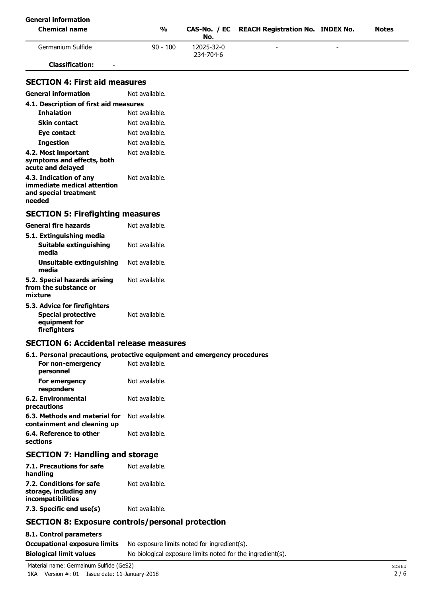| <b>General information</b>                                                                    |                                             |                         |                                         |              |
|-----------------------------------------------------------------------------------------------|---------------------------------------------|-------------------------|-----------------------------------------|--------------|
| <b>Chemical name</b>                                                                          | $\frac{1}{2}$                               | CAS-No. / EC<br>No.     | <b>REACH Registration No. INDEX No.</b> | <b>Notes</b> |
| Germanium Sulfide                                                                             | $90 - 100$                                  | 12025-32-0<br>234-704-6 |                                         |              |
| <b>Classification:</b>                                                                        |                                             |                         |                                         |              |
| <b>SECTION 4: First aid measures</b>                                                          |                                             |                         |                                         |              |
| <b>General information</b>                                                                    | Not available.                              |                         |                                         |              |
| 4.1. Description of first aid measures                                                        |                                             |                         |                                         |              |
| <b>Inhalation</b>                                                                             | Not available.                              |                         |                                         |              |
| Skin contact                                                                                  | Not available.                              |                         |                                         |              |
| Eye contact                                                                                   | Not available.                              |                         |                                         |              |
| <b>Ingestion</b>                                                                              | Not available.                              |                         |                                         |              |
| 4.2. Most important<br>symptoms and effects, both<br>acute and delayed                        | Not available.                              |                         |                                         |              |
| 4.3. Indication of any<br>immediate medical attention<br>and special treatment<br>needed      | Not available.                              |                         |                                         |              |
| <b>SECTION 5: Firefighting measures</b>                                                       |                                             |                         |                                         |              |
| <b>General fire hazards</b>                                                                   | Not available.                              |                         |                                         |              |
| 5.1. Extinguishing media<br><b>Suitable extinguishing</b><br>media                            | Not available.                              |                         |                                         |              |
| <b>Unsuitable extinguishing</b><br>media                                                      | Not available.                              |                         |                                         |              |
| 5.2. Special hazards arising<br>from the substance or<br>mixture                              | Not available.                              |                         |                                         |              |
| 5.3. Advice for firefighters<br><b>Special protective</b><br>equipment for<br>firefighters    | Not available.                              |                         |                                         |              |
| <b>SECTION 6: Accidental release measures</b>                                                 |                                             |                         |                                         |              |
| 6.1. Personal precautions, protective equipment and emergency procedures<br>For non-emergency | Not available.                              |                         |                                         |              |
| personnel<br>For emergency<br>responders                                                      | Not available.                              |                         |                                         |              |
| 6.2. Environmental<br>precautions                                                             | Not available.                              |                         |                                         |              |
| 6.3. Methods and material for<br>containment and cleaning up                                  | Not available.                              |                         |                                         |              |
| 6.4. Reference to other<br>sections                                                           | Not available.                              |                         |                                         |              |
| <b>SECTION 7: Handling and storage</b>                                                        |                                             |                         |                                         |              |
| 7.1. Precautions for safe<br>handling                                                         | Not available.                              |                         |                                         |              |
| 7.2. Conditions for safe<br>storage, including any<br>incompatibilities                       | Not available.                              |                         |                                         |              |
| 7.3. Specific end use(s)                                                                      | Not available.                              |                         |                                         |              |
| <b>SECTION 8: Exposure controls/personal protection</b>                                       |                                             |                         |                                         |              |
| 8.1. Control parameters                                                                       |                                             |                         |                                         |              |
| <b>Occupational exposure limits</b>                                                           | No exposure limits noted for ingredient(s). |                         |                                         |              |

**Biological limit values** No biological exposure limits noted for the ingredient(s).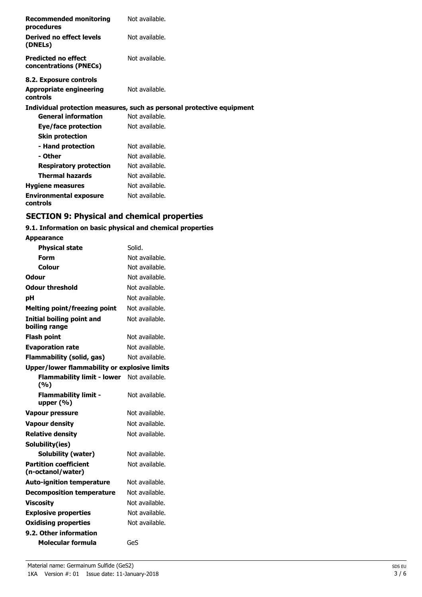| <b>Recommended monitoring</b><br>procedures          | Not available.                                                        |
|------------------------------------------------------|-----------------------------------------------------------------------|
| <b>Derived no effect levels</b><br>(DNELs)           | Not available.                                                        |
| <b>Predicted no effect</b><br>concentrations (PNECs) | Not available.                                                        |
| 8.2. Exposure controls                               |                                                                       |
| <b>Appropriate engineering</b><br>controls           | Not available.                                                        |
|                                                      | Individual protection measures, such as personal protective equipment |
| <b>General information</b>                           | Not available.                                                        |
| Eye/face protection                                  | Not available.                                                        |
| <b>Skin protection</b>                               |                                                                       |
| - Hand protection                                    | Not available.                                                        |
| - Other                                              | Not available.                                                        |
| <b>Respiratory protection</b>                        | Not available.                                                        |
| <b>Thermal hazards</b>                               | Not available.                                                        |
| <b>Hygiene measures</b>                              | Not available.                                                        |
| <b>Environmental exposure</b><br>controls            | Not available.                                                        |

# **SECTION 9: Physical and chemical properties**

#### **9.1. Information on basic physical and chemical properties**

| <b>Appearance</b>                                   |                |
|-----------------------------------------------------|----------------|
| <b>Physical state</b>                               | Solid.         |
| Form                                                | Not available. |
| Colour                                              | Not available. |
| Odour                                               | Not available. |
| <b>Odour threshold</b>                              | Not available. |
| рH                                                  | Not available. |
| <b>Melting point/freezing point</b>                 | Not available. |
| <b>Initial boiling point and</b><br>boiling range   | Not available. |
| <b>Flash point</b>                                  | Not available. |
| <b>Evaporation rate</b>                             | Not available. |
| <b>Flammability (solid, gas)</b>                    | Not available. |
| <b>Upper/lower flammability or explosive limits</b> |                |
| <b>Flammability limit - lower</b><br>(%)            | Not available. |
| <b>Flammability limit -</b><br>upper $(% )$         | Not available. |
| <b>Vapour pressure</b>                              | Not available. |
| <b>Vapour density</b>                               | Not available. |
| <b>Relative density</b>                             | Not available. |
| Solubility(ies)                                     |                |
| Solubility (water)                                  | Not available. |
| <b>Partition coefficient</b><br>(n-octanol/water)   | Not available. |
| <b>Auto-ignition temperature</b>                    | Not available. |
| <b>Decomposition temperature</b>                    | Not available. |
| <b>Viscosity</b>                                    | Not available. |
| <b>Explosive properties</b>                         | Not available. |
| <b>Oxidising properties</b>                         | Not available. |
| 9.2. Other information                              |                |
| Molecular formula                                   | GeS            |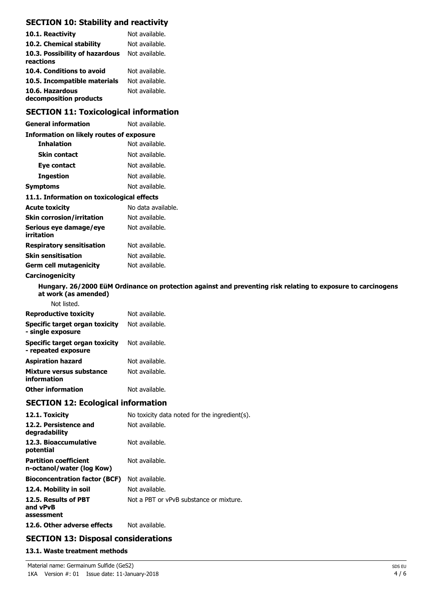# **SECTION 10: Stability and reactivity**

| 10.1. Reactivity                            | Not available. |
|---------------------------------------------|----------------|
| 10.2. Chemical stability                    | Not available. |
| 10.3. Possibility of hazardous<br>reactions | Not available. |
| 10.4. Conditions to avoid                   | Not available. |
| 10.5. Incompatible materials                | Not available. |
| 10.6. Hazardous<br>decomposition products   | Not available. |

# **SECTION 11: Toxicological information**

| <b>General information</b>                                   | Not available.                                                                                               |
|--------------------------------------------------------------|--------------------------------------------------------------------------------------------------------------|
| <b>Information on likely routes of exposure</b>              |                                                                                                              |
| <b>Inhalation</b>                                            | Not available.                                                                                               |
| <b>Skin contact</b>                                          | Not available.                                                                                               |
| Eye contact                                                  | Not available.                                                                                               |
| <b>Ingestion</b>                                             | Not available.                                                                                               |
| <b>Symptoms</b>                                              | Not available.                                                                                               |
| 11.1. Information on toxicological effects                   |                                                                                                              |
| <b>Acute toxicity</b>                                        | No data available.                                                                                           |
| <b>Skin corrosion/irritation</b>                             | Not available.                                                                                               |
| Serious eye damage/eye<br>irritation                         | Not available.                                                                                               |
| <b>Respiratory sensitisation</b>                             | Not available.                                                                                               |
| <b>Skin sensitisation</b>                                    | Not available.                                                                                               |
| <b>Germ cell mutagenicity</b>                                | Not available.                                                                                               |
| Carcinogenicity                                              |                                                                                                              |
| at work (as amended)                                         | Hungary. 26/2000 EüM Ordinance on protection against and preventing risk relating to exposure to carcinogens |
| Not listed.                                                  |                                                                                                              |
| <b>Reproductive toxicity</b>                                 | Not available.                                                                                               |
| Specific target organ toxicity<br>- single exposure          | Not available.                                                                                               |
| <b>Specific target organ toxicity</b><br>- repeated exposure | Not available.                                                                                               |
| <b>Aspiration hazard</b>                                     | Not available.                                                                                               |
| Mixture versus substance<br>information                      | Not available.                                                                                               |
| <b>Other information</b>                                     | Not available.                                                                                               |
| <b>SECTION 12: Ecological information</b>                    |                                                                                                              |

| 12.1. Toxicity                                            | No toxicity data noted for the ingredient(s). |  |
|-----------------------------------------------------------|-----------------------------------------------|--|
| 12.2. Persistence and<br>degradability                    | Not available.                                |  |
| 12.3. Bioaccumulative<br>potential                        | Not available.                                |  |
| <b>Partition coefficient</b><br>n-octanol/water (log Kow) | Not available.                                |  |
| <b>Bioconcentration factor (BCF)</b>                      | Not available.                                |  |
| 12.4. Mobility in soil                                    | Not available.                                |  |
| 12.5. Results of PBT<br>and vPvB<br>assessment            | Not a PBT or vPvB substance or mixture.       |  |
| 12.6. Other adverse effects                               | Not available.                                |  |

# **SECTION 13: Disposal considerations**

#### **13.1. Waste treatment methods**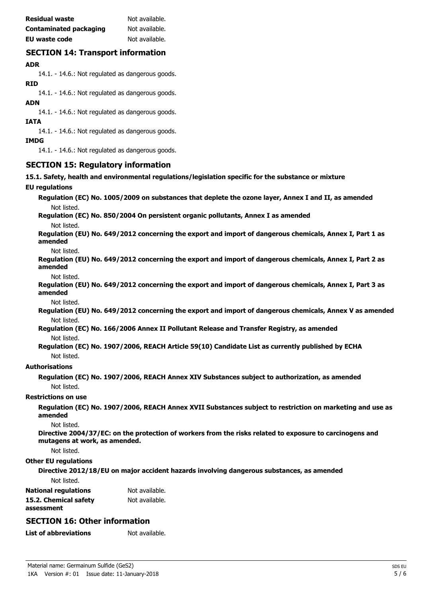| Residual waste         | Not available. |
|------------------------|----------------|
| Contaminated packaging | Not available. |
| EU waste code          | Not available. |

#### **SECTION 14: Transport information**

#### **ADR**

14.1. - 14.6.: Not regulated as dangerous goods.

**RID**

14.1. - 14.6.: Not regulated as dangerous goods.

#### **ADN**

14.1. - 14.6.: Not regulated as dangerous goods.

**IATA**

14.1. - 14.6.: Not regulated as dangerous goods.

**IMDG**

14.1. - 14.6.: Not regulated as dangerous goods.

#### **SECTION 15: Regulatory information**

#### **15.1. Safety, health and environmental regulations/legislation specific for the substance or mixture**

#### **EU regulations**

**Regulation (EC) No. 1005/2009 on substances that deplete the ozone layer, Annex I and II, as amended** Not listed.

**Regulation (EC) No. 850/2004 On persistent organic pollutants, Annex I as amended** Not listed.

**Regulation (EU) No. 649/2012 concerning the export and import of dangerous chemicals, Annex I, Part 1 as amended**

Not listed.

**Regulation (EU) No. 649/2012 concerning the export and import of dangerous chemicals, Annex I, Part 2 as amended**

Not listed.

**Regulation (EU) No. 649/2012 concerning the export and import of dangerous chemicals, Annex I, Part 3 as amended**

Not listed.

**Regulation (EU) No. 649/2012 concerning the export and import of dangerous chemicals, Annex V as amended** Not listed.

**Regulation (EC) No. 166/2006 Annex II Pollutant Release and Transfer Registry, as amended** Not listed.

**Regulation (EC) No. 1907/2006, REACH Article 59(10) Candidate List as currently published by ECHA** Not listed.

#### **Authorisations**

**Regulation (EC) No. 1907/2006, REACH Annex XIV Substances subject to authorization, as amended** Not listed.

#### **Restrictions on use**

**Regulation (EC) No. 1907/2006, REACH Annex XVII Substances subject to restriction on marketing and use as amended**

Not listed.

**Directive 2004/37/EC: on the protection of workers from the risks related to exposure to carcinogens and mutagens at work, as amended.**

Not listed.

#### **Other EU regulations**

**Directive 2012/18/EU on major accident hazards involving dangerous substances, as amended** Not listed.

| <b>National regulations</b> | Not available. |
|-----------------------------|----------------|
| 15.2. Chemical safety       | Not available. |
| assessment                  |                |

#### **SECTION 16: Other information**

**List of abbreviations** Not available